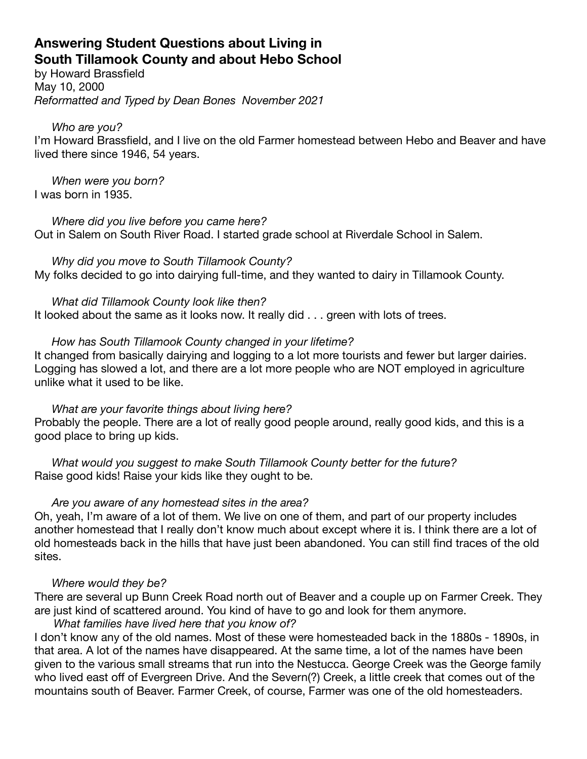# **Answering Student Questions about Living in South Tillamook County and about Hebo School**

by Howard Brassfield May 10, 2000 *Reformatted and Typed by Dean Bones November 2021*

### *Who are you?*

I'm Howard Brassfield, and I live on the old Farmer homestead between Hebo and Beaver and have lived there since 1946, 54 years.

*When were you born?*  I was born in 1935.

*Where did you live before you came here?*  Out in Salem on South River Road. I started grade school at Riverdale School in Salem.

*Why did you move to South Tillamook County?*  My folks decided to go into dairying full-time, and they wanted to dairy in Tillamook County.

*What did Tillamook County look like then?*  It looked about the same as it looks now. It really did . . . green with lots of trees.

# *How has South Tillamook County changed in your lifetime?*

It changed from basically dairying and logging to a lot more tourists and fewer but larger dairies. Logging has slowed a lot, and there are a lot more people who are NOT employed in agriculture unlike what it used to be like.

*What are your favorite things about living here?* 

Probably the people. There are a lot of really good people around, really good kids, and this is a good place to bring up kids.

*What would you suggest to make South Tillamook County better for the future?*  Raise good kids! Raise your kids like they ought to be.

# *Are you aware of any homestead sites in the area?*

Oh, yeah, I'm aware of a lot of them. We live on one of them, and part of our property includes another homestead that I really don't know much about except where it is. I think there are a lot of old homesteads back in the hills that have just been abandoned. You can still find traces of the old sites.

# *Where would they be?*

There are several up Bunn Creek Road north out of Beaver and a couple up on Farmer Creek. They are just kind of scattered around. You kind of have to go and look for them anymore.

# *What families have lived here that you know of?*

I don't know any of the old names. Most of these were homesteaded back in the 1880s - 1890s, in that area. A lot of the names have disappeared. At the same time, a lot of the names have been given to the various small streams that run into the Nestucca. George Creek was the George family who lived east off of Evergreen Drive. And the Severn(?) Creek, a little creek that comes out of the mountains south of Beaver. Farmer Creek, of course, Farmer was one of the old homesteaders.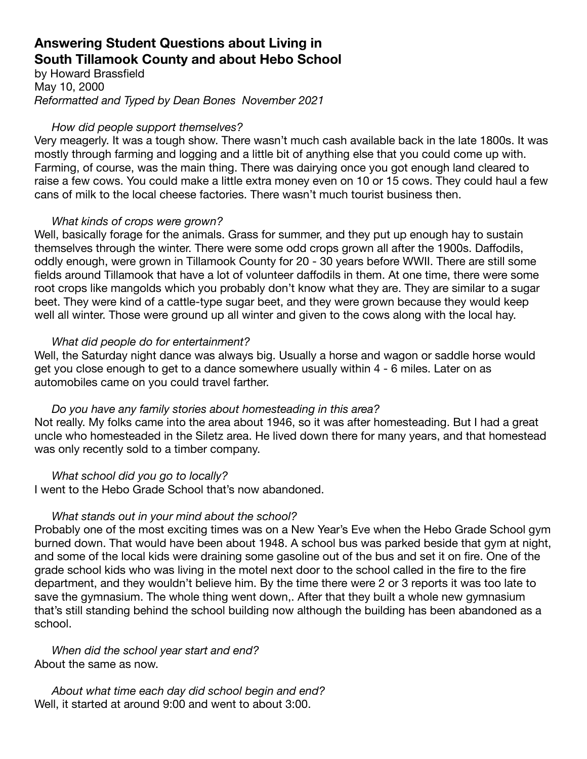# **Answering Student Questions about Living in South Tillamook County and about Hebo School**

by Howard Brassfield May 10, 2000 *Reformatted and Typed by Dean Bones November 2021*

### *How did people support themselves?*

Very meagerly. It was a tough show. There wasn't much cash available back in the late 1800s. It was mostly through farming and logging and a little bit of anything else that you could come up with. Farming, of course, was the main thing. There was dairying once you got enough land cleared to raise a few cows. You could make a little extra money even on 10 or 15 cows. They could haul a few cans of milk to the local cheese factories. There wasn't much tourist business then.

## *What kinds of crops were grown?*

Well, basically forage for the animals. Grass for summer, and they put up enough hay to sustain themselves through the winter. There were some odd crops grown all after the 1900s. Daffodils, oddly enough, were grown in Tillamook County for 20 - 30 years before WWII. There are still some fields around Tillamook that have a lot of volunteer daffodils in them. At one time, there were some root crops like mangolds which you probably don't know what they are. They are similar to a sugar beet. They were kind of a cattle-type sugar beet, and they were grown because they would keep well all winter. Those were ground up all winter and given to the cows along with the local hay.

## *What did people do for entertainment?*

Well, the Saturday night dance was always big. Usually a horse and wagon or saddle horse would get you close enough to get to a dance somewhere usually within 4 - 6 miles. Later on as automobiles came on you could travel farther.

### *Do you have any family stories about homesteading in this area?*

Not really. My folks came into the area about 1946, so it was after homesteading. But I had a great uncle who homesteaded in the Siletz area. He lived down there for many years, and that homestead was only recently sold to a timber company.

### *What school did you go to locally?*

I went to the Hebo Grade School that's now abandoned.

### *What stands out in your mind about the school?*

Probably one of the most exciting times was on a New Year's Eve when the Hebo Grade School gym burned down. That would have been about 1948. A school bus was parked beside that gym at night, and some of the local kids were draining some gasoline out of the bus and set it on fire. One of the grade school kids who was living in the motel next door to the school called in the fire to the fire department, and they wouldn't believe him. By the time there were 2 or 3 reports it was too late to save the gymnasium. The whole thing went down,. After that they built a whole new gymnasium that's still standing behind the school building now although the building has been abandoned as a school.

*When did the school year start and end?*  About the same as now.

*About what time each day did school begin and end?*  Well, it started at around 9:00 and went to about 3:00.